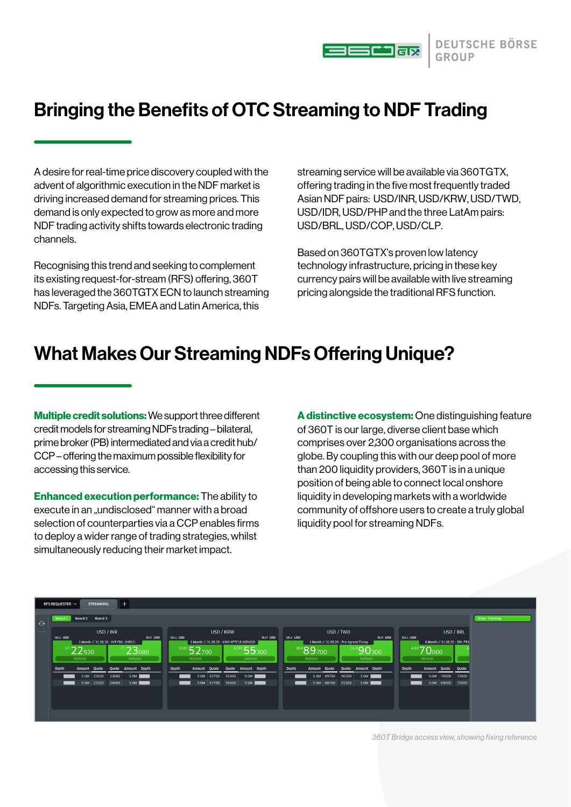

# Bringing the Benefits of OTC Streaming to NDF Trading

A desire for real-time price discovery coupled with the advent of algorithmic execution in the NDF market is driving increased demand for streaming prices. This demand is only expected to grow as more and more NDF trading activity shifts towards electronic trading channels.

Recognising this trend and seeking to complement its existing request-for-stream (RFS) offering, 360T has leveraged the 360TGTX ECN to launch streaming NDFs. Targeting Asia, EMEA and Latin America, this

streaming service will be available via 360TGTX, offering trading in the five most frequently traded Asian NDF pairs: USD/INR, USD/KRW, USD/TWD, USD/IDR, USD/PHP and the three LatAm pairs: USD/BRL, USD/COP, USD/CLP.

Based on 360TGTX's proven low latency technology infrastructure, pricing in these key currency pairs will be available with live streaming pricing alongside the traditional RFS function.

## What Makes Our Streaming NDFs Offering Unique?

Multiple credit solutions: We support three different credit models for streaming NDFs trading – bilateral, prime broker (PB) intermediated and via a credit hub/ CCP – offering the maximum possible flexibility for accessing this service.

Enhanced execution performance: The ability to execute in an undisclosed" manner with a broad selection of counterparties via a CCP enables firms to deploy a wider range of trading strategies, whilst simultaneously reducing their market impact.

A distinctive ecosystem: One distinguishing feature of 360T is our large, diverse client base which comprises over 2,300 organisations across the globe. By coupling this with our deep pool of more than 200 liquidity providers, 360T is in a unique position of being able to connect local onshore liquidity in developing markets with a worldwide community of offshore users to create a truly global liquidity pool for streaming NDFs.



*360T Bridge access view, showing fixing reference*